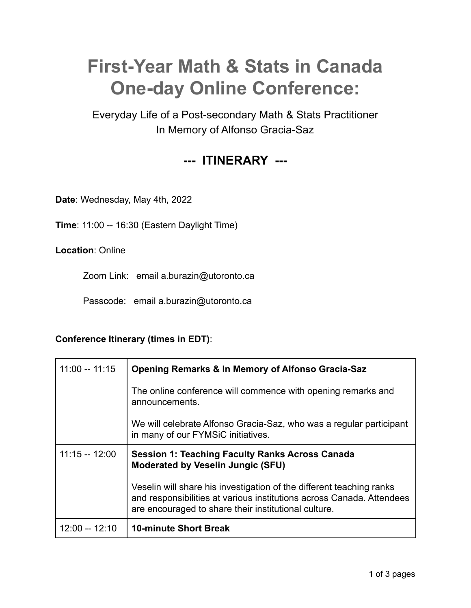## **First-Year Math & Stats in Canada One-day Online Conference:**

Everyday Life of a Post-secondary Math & Stats Practitioner In Memory of Alfonso Gracia-Saz

## **--- ITINERARY ---**

**Date**: Wednesday, May 4th, 2022

**Time**: 11:00 -- 16:30 (Eastern Daylight Time)

**Location**: Online

Zoom Link: email a.burazin@utoronto.ca

Passcode: email a.burazin@utoronto.ca

## **Conference Itinerary (times in EDT)**:

| $11:00 - 11:15$ | <b>Opening Remarks &amp; In Memory of Alfonso Gracia-Saz</b>                                                                                                                                          |
|-----------------|-------------------------------------------------------------------------------------------------------------------------------------------------------------------------------------------------------|
|                 | The online conference will commence with opening remarks and<br>announcements.                                                                                                                        |
|                 | We will celebrate Alfonso Gracia-Saz, who was a regular participant<br>in many of our FYMSiC initiatives.                                                                                             |
| $11:15 - 12:00$ | <b>Session 1: Teaching Faculty Ranks Across Canada</b><br><b>Moderated by Veselin Jungic (SFU)</b>                                                                                                    |
|                 | Veselin will share his investigation of the different teaching ranks<br>and responsibilities at various institutions across Canada. Attendees<br>are encouraged to share their institutional culture. |
| 12:00 -- 12:10  | <b>10-minute Short Break</b>                                                                                                                                                                          |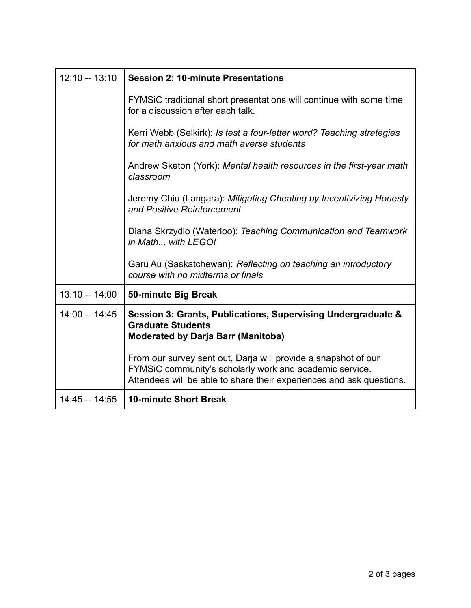| $12:10 - 13:10$ | <b>Session 2: 10-minute Presentations</b>                                                                                                                                                         |
|-----------------|---------------------------------------------------------------------------------------------------------------------------------------------------------------------------------------------------|
|                 | FYMSIC traditional short presentations will continue with some time<br>for a discussion after each talk.                                                                                          |
|                 | Kerri Webb (Selkirk): Is test a four-letter word? Teaching strategies<br>for math anxious and math averse students                                                                                |
|                 | Andrew Sketon (York): Mental health resources in the first-year math<br>classroom                                                                                                                 |
|                 | Jeremy Chiu (Langara): Mitigating Cheating by Incentivizing Honesty<br>and Positive Reinforcement                                                                                                 |
|                 | Diana Skrzydlo (Waterloo): Teaching Communication and Teamwork<br>in Math with LEGO!                                                                                                              |
|                 | Garu Au (Saskatchewan): Reflecting on teaching an introductory<br>course with no midterms or finals                                                                                               |
| 13:10 -- 14:00  | 50-minute Big Break                                                                                                                                                                               |
| 14:00 -- 14:45  | Session 3: Grants, Publications, Supervising Undergraduate &<br><b>Graduate Students</b><br><b>Moderated by Darja Barr (Manitoba)</b>                                                             |
|                 | From our survey sent out, Darja will provide a snapshot of our<br>FYMSiC community's scholarly work and academic service.<br>Attendees will be able to share their experiences and ask questions. |
| 14:45 -- 14:55  | <b>10-minute Short Break</b>                                                                                                                                                                      |